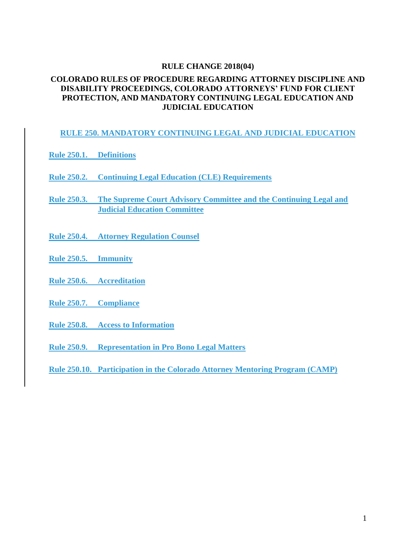#### **RULE CHANGE 2018(04)**

#### **COLORADO RULES OF PROCEDURE REGARDING ATTORNEY DISCIPLINE AND DISABILITY PROCEEDINGS, COLORADO ATTORNEYS' FUND FOR CLIENT PROTECTION, AND MANDATORY CONTINUING LEGAL EDUCATION AND JUDICIAL EDUCATION**

#### **RULE 250. MANDATORY CONTINUING LEGAL AND JUDICIAL EDUCATION**

- **Rule 250.1. Definitions**
- **Rule 250.2. Continuing Legal Education (CLE) Requirements**
- **Rule 250.3. The Supreme Court Advisory Committee and the Continuing Legal and Judicial Education Committee**
- **Rule 250.4. Attorney Regulation Counsel**
- **Rule 250.5. Immunity**
- **Rule 250.6. Accreditation**
- **Rule 250.7. Compliance**
- **Rule 250.8. Access to Information**
- **Rule 250.9. Representation in Pro Bono Legal Matters**
- **Rule 250.10. Participation in the Colorado Attorney Mentoring Program (CAMP)**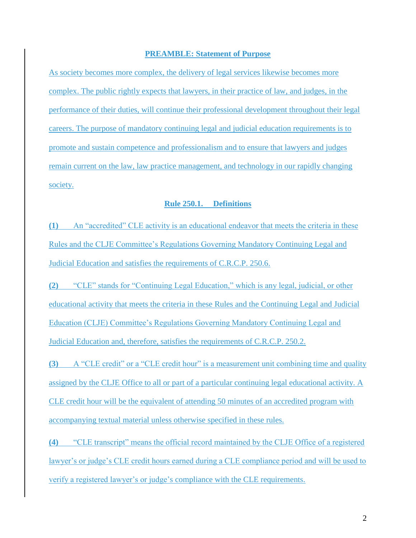#### **PREAMBLE: Statement of Purpose**

As society becomes more complex, the delivery of legal services likewise becomes more complex. The public rightly expects that lawyers, in their practice of law, and judges, in the performance of their duties, will continue their professional development throughout their legal careers. The purpose of mandatory continuing legal and judicial education requirements is to promote and sustain competence and professionalism and to ensure that lawyers and judges remain current on the law, law practice management, and technology in our rapidly changing society.

## **Rule 250.1. Definitions**

**(1)** An "accredited" CLE activity is an educational endeavor that meets the criteria in these Rules and the CLJE Committee's Regulations Governing Mandatory Continuing Legal and Judicial Education and satisfies the requirements of C.R.C.P. 250.6.

**(2)** "CLE" stands for "Continuing Legal Education," which is any legal, judicial, or other educational activity that meets the criteria in these Rules and the Continuing Legal and Judicial Education (CLJE) Committee's Regulations Governing Mandatory Continuing Legal and Judicial Education and, therefore, satisfies the requirements of C.R.C.P. 250.2.

**(3)** A "CLE credit" or a "CLE credit hour" is a measurement unit combining time and quality assigned by the CLJE Office to all or part of a particular continuing legal educational activity. A CLE credit hour will be the equivalent of attending 50 minutes of an accredited program with accompanying textual material unless otherwise specified in these rules.

**(4)** "CLE transcript" means the official record maintained by the CLJE Office of a registered lawyer's or judge's CLE credit hours earned during a CLE compliance period and will be used to verify a registered lawyer's or judge's compliance with the CLE requirements.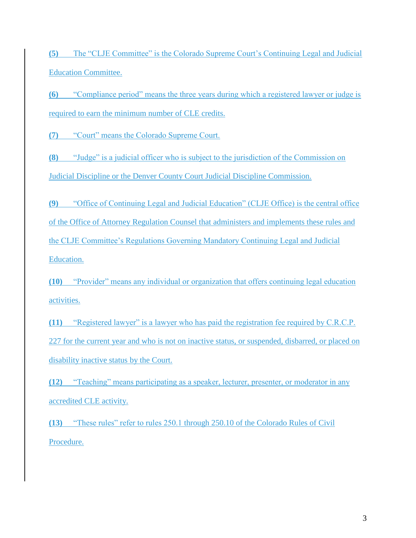**(5)** The "CLJE Committee" is the Colorado Supreme Court's Continuing Legal and Judicial Education Committee.

**(6)** "Compliance period" means the three years during which a registered lawyer or judge is required to earn the minimum number of CLE credits.

**(7)** "Court" means the Colorado Supreme Court.

**(8)** "Judge" is a judicial officer who is subject to the jurisdiction of the Commission on Judicial Discipline or the Denver County Court Judicial Discipline Commission.

**(9)** "Office of Continuing Legal and Judicial Education" (CLJE Office) is the central office of the Office of Attorney Regulation Counsel that administers and implements these rules and the CLJE Committee's Regulations Governing Mandatory Continuing Legal and Judicial Education.

**(10)** "Provider" means any individual or organization that offers continuing legal education activities.

**(11)** "Registered lawyer" is a lawyer who has paid the registration fee required by C.R.C.P. 227 for the current year and who is not on inactive status, or suspended, disbarred, or placed on disability inactive status by the Court.

**(12)** "Teaching" means participating as a speaker, lecturer, presenter, or moderator in any accredited CLE activity.

**(13)** "These rules" refer to rules 250.1 through 250.10 of the Colorado Rules of Civil Procedure.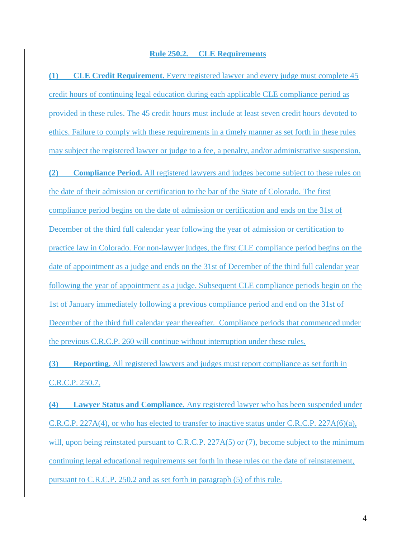#### **Rule 250.2. CLE Requirements**

**(1) CLE Credit Requirement.** Every registered lawyer and every judge must complete 45 credit hours of continuing legal education during each applicable CLE compliance period as provided in these rules. The 45 credit hours must include at least seven credit hours devoted to ethics. Failure to comply with these requirements in a timely manner as set forth in these rules may subject the registered lawyer or judge to a fee, a penalty, and/or administrative suspension. **(2) Compliance Period.** All registered lawyers and judges become subject to these rules on the date of their admission or certification to the bar of the State of Colorado. The first compliance period begins on the date of admission or certification and ends on the 31st of December of the third full calendar year following the year of admission or certification to practice law in Colorado. For non-lawyer judges, the first CLE compliance period begins on the date of appointment as a judge and ends on the 31st of December of the third full calendar year following the year of appointment as a judge. Subsequent CLE compliance periods begin on the 1st of January immediately following a previous compliance period and end on the 31st of December of the third full calendar year thereafter. Compliance periods that commenced under the previous C.R.C.P. 260 will continue without interruption under these rules.

**(3) Reporting.** All registered lawyers and judges must report compliance as set forth in C.R.C.P. 250.7.

**(4) Lawyer Status and Compliance.** Any registered lawyer who has been suspended under C.R.C.P. 227A(4), or who has elected to transfer to inactive status under C.R.C.P. 227A(6)(a), will, upon being reinstated pursuant to C.R.C.P. 227A(5) or (7), become subject to the minimum continuing legal educational requirements set forth in these rules on the date of reinstatement, pursuant to C.R.C.P. 250.2 and as set forth in paragraph (5) of this rule.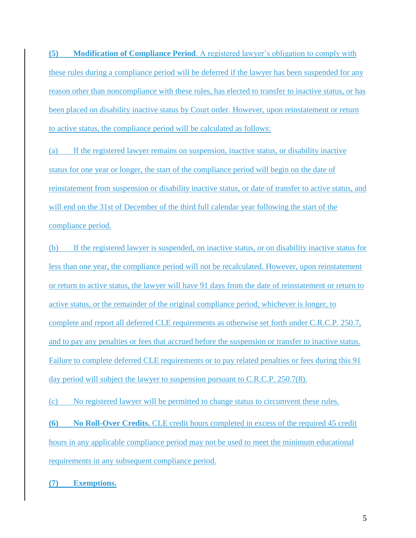**(5) Modification of Compliance Period**. A registered lawyer's obligation to comply with these rules during a compliance period will be deferred if the lawyer has been suspended for any reason other than noncompliance with these rules, has elected to transfer to inactive status, or has been placed on disability inactive status by Court order. However, upon reinstatement or return to active status, the compliance period will be calculated as follows:

(a) If the registered lawyer remains on suspension, inactive status, or disability inactive status for one year or longer, the start of the compliance period will begin on the date of reinstatement from suspension or disability inactive status, or date of transfer to active status, and will end on the 31st of December of the third full calendar year following the start of the compliance period.

(b) If the registered lawyer is suspended, on inactive status, or on disability inactive status for less than one year, the compliance period will not be recalculated. However, upon reinstatement or return to active status, the lawyer will have 91 days from the date of reinstatement or return to active status, or the remainder of the original compliance period, whichever is longer, to complete and report all deferred CLE requirements as otherwise set forth under C.R.C.P. 250.7, and to pay any penalties or fees that accrued before the suspension or transfer to inactive status. Failure to complete deferred CLE requirements or to pay related penalties or fees during this 91 day period will subject the lawyer to suspension pursuant to C.R.C.P. 250.7(8).

(c) No registered lawyer will be permitted to change status to circumvent these rules.

**(6) No Roll-Over Credits.** CLE credit hours completed in excess of the required 45 credit hours in any applicable compliance period may not be used to meet the minimum educational requirements in any subsequent compliance period.

**(7) Exemptions.**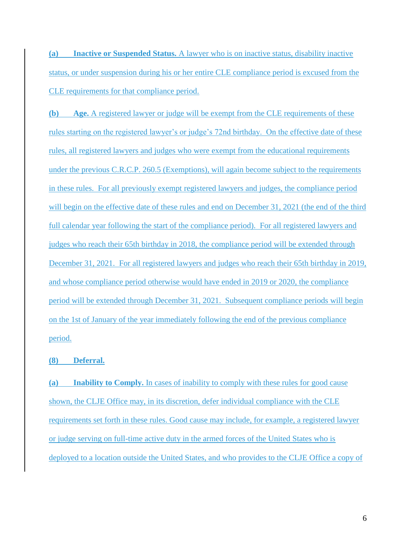**(a) Inactive or Suspended Status.** A lawyer who is on inactive status, disability inactive status, or under suspension during his or her entire CLE compliance period is excused from the CLE requirements for that compliance period.

**(b) Age.** A registered lawyer or judge will be exempt from the CLE requirements of these rules starting on the registered lawyer's or judge's 72nd birthday. On the effective date of these rules, all registered lawyers and judges who were exempt from the educational requirements under the previous C.R.C.P. 260.5 (Exemptions), will again become subject to the requirements in these rules. For all previously exempt registered lawyers and judges, the compliance period will begin on the effective date of these rules and end on December 31, 2021 (the end of the third full calendar year following the start of the compliance period). For all registered lawyers and judges who reach their 65th birthday in 2018, the compliance period will be extended through December 31, 2021. For all registered lawyers and judges who reach their 65th birthday in 2019, and whose compliance period otherwise would have ended in 2019 or 2020, the compliance period will be extended through December 31, 2021. Subsequent compliance periods will begin on the 1st of January of the year immediately following the end of the previous compliance period.

**(8) Deferral.**

**(a) Inability to Comply.** In cases of inability to comply with these rules for good cause shown, the CLJE Office may, in its discretion, defer individual compliance with the CLE requirements set forth in these rules. Good cause may include, for example, a registered lawyer or judge serving on full-time active duty in the armed forces of the United States who is deployed to a location outside the United States, and who provides to the CLJE Office a copy of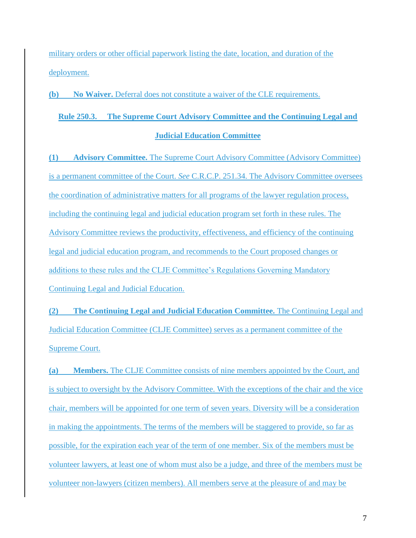military orders or other official paperwork listing the date, location, and duration of the deployment.

**(b) No Waiver.** Deferral does not constitute a waiver of the CLE requirements.

## **Rule 250.3. The Supreme Court Advisory Committee and the Continuing Legal and Judicial Education Committee**

**(1) Advisory Committee.** The Supreme Court Advisory Committee (Advisory Committee) is a permanent committee of the Court. *See* C.R.C.P. 251.34. The Advisory Committee oversees the coordination of administrative matters for all programs of the lawyer regulation process, including the continuing legal and judicial education program set forth in these rules. The Advisory Committee reviews the productivity, effectiveness, and efficiency of the continuing legal and judicial education program, and recommends to the Court proposed changes or additions to these rules and the CLJE Committee's Regulations Governing Mandatory Continuing Legal and Judicial Education.

**(2) The Continuing Legal and Judicial Education Committee.** The Continuing Legal and Judicial Education Committee (CLJE Committee) serves as a permanent committee of the Supreme Court.

**(a) Members.** The CLJE Committee consists of nine members appointed by the Court, and is subject to oversight by the Advisory Committee. With the exceptions of the chair and the vice chair, members will be appointed for one term of seven years. Diversity will be a consideration in making the appointments. The terms of the members will be staggered to provide, so far as possible, for the expiration each year of the term of one member. Six of the members must be volunteer lawyers, at least one of whom must also be a judge, and three of the members must be volunteer non-lawyers (citizen members). All members serve at the pleasure of and may be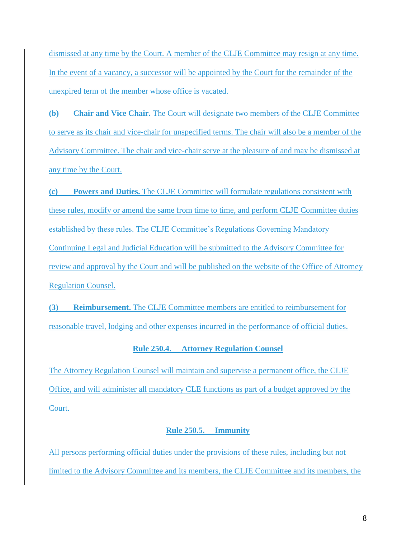dismissed at any time by the Court. A member of the CLJE Committee may resign at any time. In the event of a vacancy, a successor will be appointed by the Court for the remainder of the unexpired term of the member whose office is vacated.

**(b) Chair and Vice Chair.** The Court will designate two members of the CLJE Committee to serve as its chair and vice-chair for unspecified terms. The chair will also be a member of the Advisory Committee. The chair and vice-chair serve at the pleasure of and may be dismissed at any time by the Court.

**(c) Powers and Duties.** The CLJE Committee will formulate regulations consistent with these rules, modify or amend the same from time to time, and perform CLJE Committee duties established by these rules. The CLJE Committee's Regulations Governing Mandatory Continuing Legal and Judicial Education will be submitted to the Advisory Committee for review and approval by the Court and will be published on the website of the Office of Attorney Regulation Counsel.

**(3) Reimbursement.** The CLJE Committee members are entitled to reimbursement for reasonable travel, lodging and other expenses incurred in the performance of official duties.

## **Rule 250.4. Attorney Regulation Counsel**

The Attorney Regulation Counsel will maintain and supervise a permanent office, the CLJE Office, and will administer all mandatory CLE functions as part of a budget approved by the Court.

## **Rule 250.5. Immunity**

All persons performing official duties under the provisions of these rules, including but not limited to the Advisory Committee and its members, the CLJE Committee and its members, the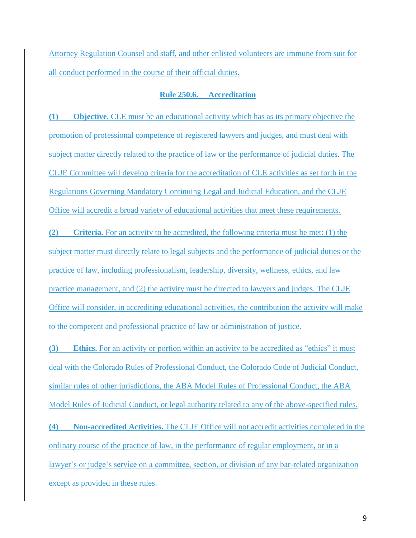Attorney Regulation Counsel and staff, and other enlisted volunteers are immune from suit for all conduct performed in the course of their official duties.

#### **Rule 250.6. Accreditation**

**(1) Objective.** CLE must be an educational activity which has as its primary objective the promotion of professional competence of registered lawyers and judges, and must deal with subject matter directly related to the practice of law or the performance of judicial duties. The CLJE Committee will develop criteria for the accreditation of CLE activities as set forth in the Regulations Governing Mandatory Continuing Legal and Judicial Education, and the CLJE Office will accredit a broad variety of educational activities that meet these requirements.

**(2) Criteria.** For an activity to be accredited, the following criteria must be met: (1) the subject matter must directly relate to legal subjects and the performance of judicial duties or the practice of law, including professionalism, leadership, diversity, wellness, ethics, and law practice management, and (2) the activity must be directed to lawyers and judges. The CLJE Office will consider, in accrediting educational activities, the contribution the activity will make to the competent and professional practice of law or administration of justice.

**(3) Ethics.** For an activity or portion within an activity to be accredited as "ethics" it must deal with the Colorado Rules of Professional Conduct, the Colorado Code of Judicial Conduct, similar rules of other jurisdictions, the ABA Model Rules of Professional Conduct, the ABA Model Rules of Judicial Conduct, or legal authority related to any of the above-specified rules.

**(4) Non-accredited Activities.** The CLJE Office will not accredit activities completed in the ordinary course of the practice of law, in the performance of regular employment, or in a lawyer's or judge's service on a committee, section, or division of any bar-related organization except as provided in these rules.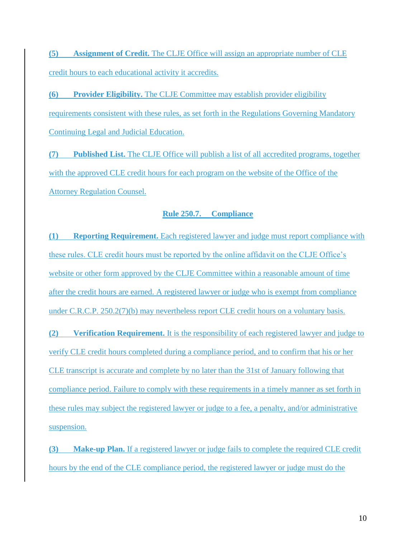**(5) Assignment of Credit.** The CLJE Office will assign an appropriate number of CLE credit hours to each educational activity it accredits.

**(6) Provider Eligibility.** The CLJE Committee may establish provider eligibility requirements consistent with these rules, as set forth in the Regulations Governing Mandatory Continuing Legal and Judicial Education.

**(7) Published List.** The CLJE Office will publish a list of all accredited programs, together with the approved CLE credit hours for each program on the website of the Office of the Attorney Regulation Counsel.

## **Rule 250.7. Compliance**

**(1) Reporting Requirement.** Each registered lawyer and judge must report compliance with these rules. CLE credit hours must be reported by the online affidavit on the CLJE Office's website or other form approved by the CLJE Committee within a reasonable amount of time after the credit hours are earned. A registered lawyer or judge who is exempt from compliance under C.R.C.P. 250.2(7)(b) may nevertheless report CLE credit hours on a voluntary basis.

**(2) Verification Requirement.** It is the responsibility of each registered lawyer and judge to verify CLE credit hours completed during a compliance period, and to confirm that his or her CLE transcript is accurate and complete by no later than the 31st of January following that compliance period. Failure to comply with these requirements in a timely manner as set forth in these rules may subject the registered lawyer or judge to a fee, a penalty, and/or administrative suspension.

**(3) Make-up Plan.** If a registered lawyer or judge fails to complete the required CLE credit hours by the end of the CLE compliance period, the registered lawyer or judge must do the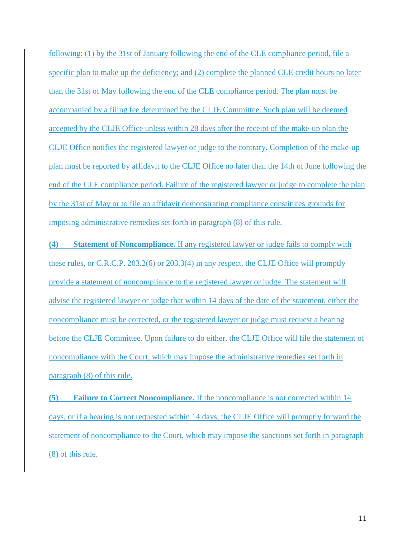following: (1) by the 31st of January following the end of the CLE compliance period, file a specific plan to make up the deficiency; and (2) complete the planned CLE credit hours no later than the 31st of May following the end of the CLE compliance period. The plan must be accompanied by a filing fee determined by the CLJE Committee. Such plan will be deemed accepted by the CLJE Office unless within 28 days after the receipt of the make-up plan the CLJE Office notifies the registered lawyer or judge to the contrary. Completion of the make-up plan must be reported by affidavit to the CLJE Office no later than the 14th of June following the end of the CLE compliance period. Failure of the registered lawyer or judge to complete the plan by the 31st of May or to file an affidavit demonstrating compliance constitutes grounds for imposing administrative remedies set forth in paragraph (8) of this rule.

**(4) Statement of Noncompliance.** If any registered lawyer or judge fails to comply with these rules, or C.R.C.P. 203.2(6) or 203.3(4) in any respect, the CLJE Office will promptly provide a statement of noncompliance to the registered lawyer or judge. The statement will advise the registered lawyer or judge that within 14 days of the date of the statement, either the noncompliance must be corrected, or the registered lawyer or judge must request a hearing before the CLJE Committee. Upon failure to do either, the CLJE Office will file the statement of noncompliance with the Court, which may impose the administrative remedies set forth in paragraph (8) of this rule.

**(5) Failure to Correct Noncompliance.** If the noncompliance is not corrected within 14 days, or if a hearing is not requested within 14 days, the CLJE Office will promptly forward the statement of noncompliance to the Court, which may impose the sanctions set forth in paragraph (8) of this rule.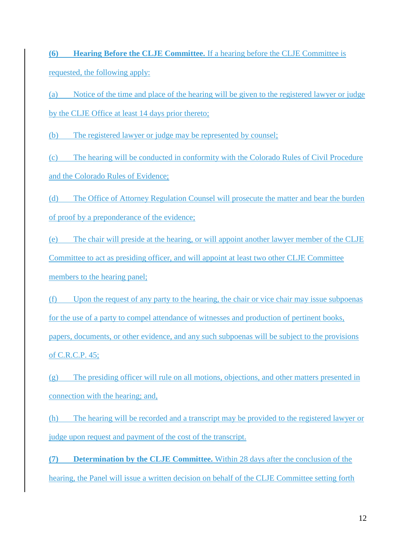**(6) Hearing Before the CLJE Committee.** If a hearing before the CLJE Committee is requested, the following apply:

(a) Notice of the time and place of the hearing will be given to the registered lawyer or judge by the CLJE Office at least 14 days prior thereto;

(b) The registered lawyer or judge may be represented by counsel;

(c) The hearing will be conducted in conformity with the Colorado Rules of Civil Procedure and the Colorado Rules of Evidence;

(d) The Office of Attorney Regulation Counsel will prosecute the matter and bear the burden of proof by a preponderance of the evidence;

(e) The chair will preside at the hearing, or will appoint another lawyer member of the CLJE Committee to act as presiding officer, and will appoint at least two other CLJE Committee members to the hearing panel;

(f) Upon the request of any party to the hearing, the chair or vice chair may issue subpoenas for the use of a party to compel attendance of witnesses and production of pertinent books, papers, documents, or other evidence, and any such subpoenas will be subject to the provisions of C.R.C.P. 45;

(g) The presiding officer will rule on all motions, objections, and other matters presented in connection with the hearing; and,

(h) The hearing will be recorded and a transcript may be provided to the registered lawyer or judge upon request and payment of the cost of the transcript.

**(7) Determination by the CLJE Committee.** Within 28 days after the conclusion of the hearing, the Panel will issue a written decision on behalf of the CLJE Committee setting forth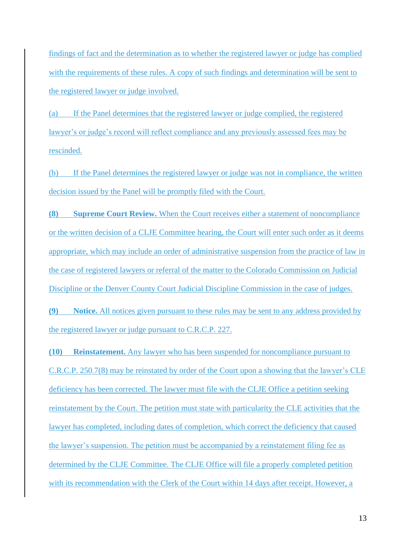findings of fact and the determination as to whether the registered lawyer or judge has complied with the requirements of these rules. A copy of such findings and determination will be sent to the registered lawyer or judge involved.

(a) If the Panel determines that the registered lawyer or judge complied, the registered lawyer's or judge's record will reflect compliance and any previously assessed fees may be rescinded.

(b) If the Panel determines the registered lawyer or judge was not in compliance, the written decision issued by the Panel will be promptly filed with the Court.

**(8) Supreme Court Review.** When the Court receives either a statement of noncompliance or the written decision of a CLJE Committee hearing, the Court will enter such order as it deems appropriate, which may include an order of administrative suspension from the practice of law in the case of registered lawyers or referral of the matter to the Colorado Commission on Judicial Discipline or the Denver County Court Judicial Discipline Commission in the case of judges.

**(9) Notice.** All notices given pursuant to these rules may be sent to any address provided by the registered lawyer or judge pursuant to C.R.C.P. 227.

**(10) Reinstatement.** Any lawyer who has been suspended for noncompliance pursuant to C.R.C.P. 250.7(8) may be reinstated by order of the Court upon a showing that the lawyer's CLE deficiency has been corrected. The lawyer must file with the CLJE Office a petition seeking reinstatement by the Court. The petition must state with particularity the CLE activities that the lawyer has completed, including dates of completion, which correct the deficiency that caused the lawyer's suspension. The petition must be accompanied by a reinstatement filing fee as determined by the CLJE Committee. The CLJE Office will file a properly completed petition with its recommendation with the Clerk of the Court within 14 days after receipt. However, a

13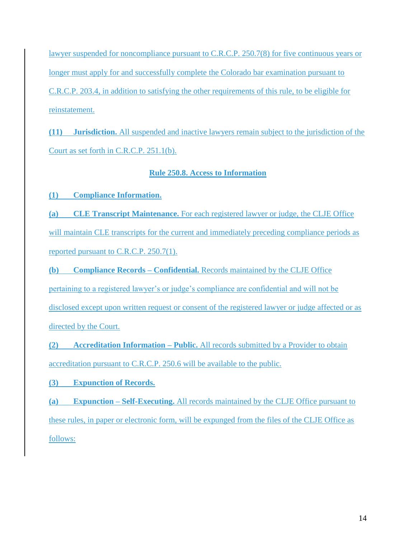lawyer suspended for noncompliance pursuant to C.R.C.P. 250.7(8) for five continuous years or longer must apply for and successfully complete the Colorado bar examination pursuant to C.R.C.P. 203.4, in addition to satisfying the other requirements of this rule, to be eligible for reinstatement.

**(11) Jurisdiction.** All suspended and inactive lawyers remain subject to the jurisdiction of the Court as set forth in C.R.C.P. 251.1(b).

## **Rule 250.8. Access to Information**

**(1) Compliance Information.**

**(a) CLE Transcript Maintenance.** For each registered lawyer or judge, the CLJE Office will maintain CLE transcripts for the current and immediately preceding compliance periods as reported pursuant to C.R.C.P. 250.7(1).

**(b) Compliance Records – Confidential.** Records maintained by the CLJE Office pertaining to a registered lawyer's or judge's compliance are confidential and will not be disclosed except upon written request or consent of the registered lawyer or judge affected or as directed by the Court.

**(2) Accreditation Information – Public.** All records submitted by a Provider to obtain accreditation pursuant to C.R.C.P. 250.6 will be available to the public.

**(3) Expunction of Records.**

**(a) Expunction – Self-Executing.** All records maintained by the CLJE Office pursuant to these rules, in paper or electronic form, will be expunged from the files of the CLJE Office as follows: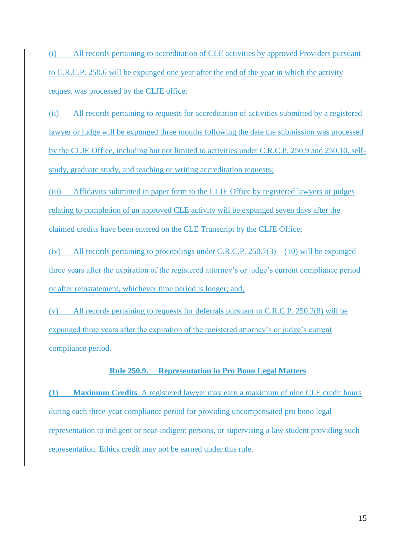(i) All records pertaining to accreditation of CLE activities by approved Providers pursuant to C.R.C.P. 250.6 will be expunged one year after the end of the year in which the activity request was processed by the CLJE office;

(ii) All records pertaining to requests for accreditation of activities submitted by a registered lawyer or judge will be expunged three months following the date the submission was processed by the CLJE Office, including but not limited to activities under C.R.C.P. 250.9 and 250.10, selfstudy, graduate study, and teaching or writing accreditation requests;

(iii) Affidavits submitted in paper form to the CLJE Office by registered lawyers or judges relating to completion of an approved CLE activity will be expunged seven days after the claimed credits have been entered on the CLE Transcript by the CLJE Office;

(iv) All records pertaining to proceedings under C.R.C.P. 250.7(3) – (10) will be expunged three years after the expiration of the registered attorney's or judge's current compliance period or after reinstatement, whichever time period is longer; and,

(v) All records pertaining to requests for deferrals pursuant to C.R.C.P. 250.2(8) will be expunged three years after the expiration of the registered attorney's or judge's current compliance period.

## **Rule 250.9. Representation in Pro Bono Legal Matters**

**(1) Maximum Credits**. A registered lawyer may earn a maximum of nine CLE credit hours during each three-year compliance period for providing uncompensated pro bono legal representation to indigent or near-indigent persons, or supervising a law student providing such representation. Ethics credit may not be earned under this rule.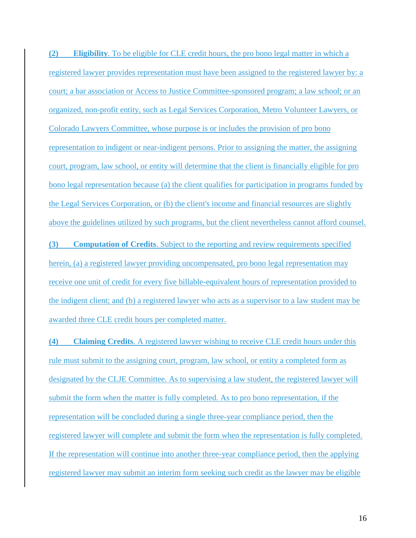**(2) Eligibility**. To be eligible for CLE credit hours, the pro bono legal matter in which a registered lawyer provides representation must have been assigned to the registered lawyer by: a court; a bar association or Access to Justice Committee-sponsored program; a law school; or an organized, non-profit entity, such as Legal Services Corporation, Metro Volunteer Lawyers, or Colorado Lawyers Committee, whose purpose is or includes the provision of pro bono representation to indigent or near-indigent persons. Prior to assigning the matter, the assigning court, program, law school, or entity will determine that the client is financially eligible for pro bono legal representation because (a) the client qualifies for participation in programs funded by the Legal Services Corporation, or (b) the client's income and financial resources are slightly above the guidelines utilized by such programs, but the client nevertheless cannot afford counsel.

**(3) Computation of Credits**. Subject to the reporting and review requirements specified herein, (a) a registered lawyer providing uncompensated, pro bono legal representation may receive one unit of credit for every five billable-equivalent hours of representation provided to the indigent client; and (b) a registered lawyer who acts as a supervisor to a law student may be awarded three CLE credit hours per completed matter.

**(4) Claiming Credits**. A registered lawyer wishing to receive CLE credit hours under this rule must submit to the assigning court, program, law school, or entity a completed form as designated by the CLJE Committee. As to supervising a law student, the registered lawyer will submit the form when the matter is fully completed. As to pro bono representation, if the representation will be concluded during a single three-year compliance period, then the registered lawyer will complete and submit the form when the representation is fully completed. If the representation will continue into another three-year compliance period, then the applying registered lawyer may submit an interim form seeking such credit as the lawyer may be eligible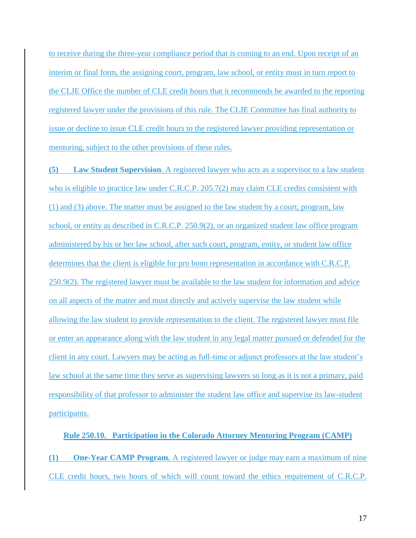to receive during the three-year compliance period that is coming to an end. Upon receipt of an interim or final form, the assigning court, program, law school, or entity must in turn report to the CLJE Office the number of CLE credit hours that it recommends be awarded to the reporting registered lawyer under the provisions of this rule. The CLJE Committee has final authority to issue or decline to issue CLE credit hours to the registered lawyer providing representation or mentoring, subject to the other provisions of these rules.

**(5) Law Student Supervision**. A registered lawyer who acts as a supervisor to a law student who is eligible to practice law under C.R.C.P. 205.7(2) may claim CLE credits consistent with (1) and (3) above. The matter must be assigned to the law student by a court, program, law school, or entity as described in C.R.C.P. 250.9(2), or an organized student law office program administered by his or her law school, after such court, program, entity, or student law office determines that the client is eligible for pro bono representation in accordance with C.R.C.P. 250.9(2). The registered lawyer must be available to the law student for information and advice on all aspects of the matter and must directly and actively supervise the law student while allowing the law student to provide representation to the client. The registered lawyer must file or enter an appearance along with the law student in any legal matter pursued or defended for the client in any court. Lawyers may be acting as full-time or adjunct professors at the law student's law school at the same time they serve as supervising lawyers so long as it is not a primary, paid responsibility of that professor to administer the student law office and supervise its law-student participants.

# **Rule 250.10. Participation in the Colorado Attorney Mentoring Program (CAMP) (1) One-Year CAMP Program.** A registered lawyer or judge may earn a maximum of nine CLE credit hours, two hours of which will count toward the ethics requirement of C.R.C.P.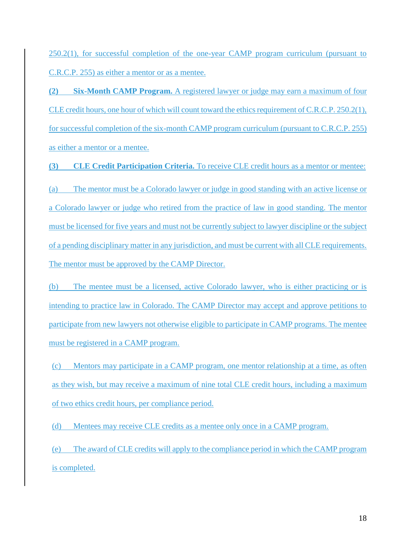250.2(1), for successful completion of the one-year CAMP program curriculum (pursuant to C.R.C.P. 255) as either a mentor or as a mentee.

**(2) Six-Month CAMP Program.** A registered lawyer or judge may earn a maximum of four CLE credit hours, one hour of which will count toward the ethics requirement of C.R.C.P. 250.2(1), for successful completion of the six-month CAMP program curriculum (pursuant to C.R.C.P. 255) as either a mentor or a mentee.

**(3) CLE Credit Participation Criteria.** To receive CLE credit hours as a mentor or mentee:

(a) The mentor must be a Colorado lawyer or judge in good standing with an active license or a Colorado lawyer or judge who retired from the practice of law in good standing. The mentor must be licensed for five years and must not be currently subject to lawyer discipline or the subject of a pending disciplinary matter in any jurisdiction, and must be current with all CLE requirements. The mentor must be approved by the CAMP Director.

(b) The mentee must be a licensed, active Colorado lawyer, who is either practicing or is intending to practice law in Colorado. The CAMP Director may accept and approve petitions to participate from new lawyers not otherwise eligible to participate in CAMP programs. The mentee must be registered in a CAMP program.

(c) Mentors may participate in a CAMP program, one mentor relationship at a time, as often as they wish, but may receive a maximum of nine total CLE credit hours, including a maximum of two ethics credit hours, per compliance period.

(d) Mentees may receive CLE credits as a mentee only once in a CAMP program.

(e) The award of CLE credits will apply to the compliance period in which the CAMP program is completed.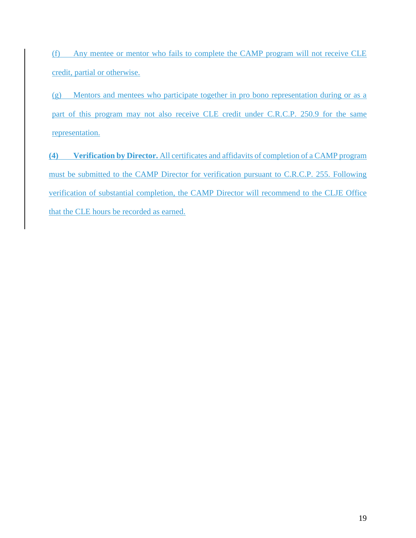(f) Any mentee or mentor who fails to complete the CAMP program will not receive CLE credit, partial or otherwise.

(g) Mentors and mentees who participate together in pro bono representation during or as a part of this program may not also receive CLE credit under C.R.C.P. 250.9 for the same representation.

**(4) Verification by Director.** All certificates and affidavits of completion of a CAMP program must be submitted to the CAMP Director for verification pursuant to C.R.C.P. 255. Following verification of substantial completion, the CAMP Director will recommend to the CLJE Office that the CLE hours be recorded as earned.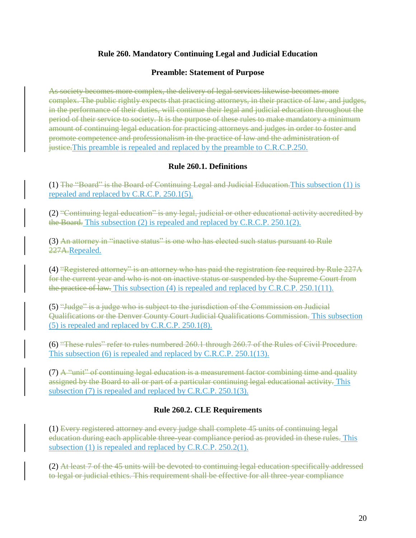## **Rule 260. Mandatory Continuing Legal and Judicial Education**

#### **Preamble: Statement of Purpose**

As society becomes more complex, the delivery of legal services likewise becomes more complex. The public rightly expects that practicing attorneys, in their practice of law, and judges, in the performance of their duties, will continue their legal and judicial education throughout the period of their service to society. It is the purpose of these rules to make mandatory a minimum amount of continuing legal education for practicing attorneys and judges in order to foster and promote competence and professionalism in the practice of law and the administration of justice.This preamble is repealed and replaced by the preamble to C.R.C.P.250.

## **Rule 260.1. Definitions**

(1) The "Board" is the Board of Continuing Legal and Judicial Education.This subsection (1) is repealed and replaced by C.R.C.P. 250.1(5).

(2) "Continuing legal education" is any legal, judicial or other educational activity accredited by the Board. This subsection (2) is repealed and replaced by C.R.C.P. 250.1(2).

(3) An attorney in "inactive status" is one who has elected such status pursuant to Rule 227A.Repealed.

(4) "Registered attorney" is an attorney who has paid the registration fee required by Rule 227A for the current year and who is not on inactive status or suspended by the Supreme Court from the practice of law. This subsection (4) is repealed and replaced by C.R.C.P. 250.1(11).

(5) "Judge" is a judge who is subject to the jurisdiction of the Commission on Judicial Qualifications or the Denver County Court Judicial Qualifications Commission. This subsection (5) is repealed and replaced by C.R.C.P. 250.1(8).

(6) "These rules" refer to rules numbered 260.1 through 260.7 of the Rules of Civil Procedure. This subsection (6) is repealed and replaced by C.R.C.P. 250.1(13).

 $(7)$  A "unit" of continuing legal education is a measurement factor combining time and quality assigned by the Board to all or part of a particular continuing legal educational activity. This subsection (7) is repealed and replaced by C.R.C.P. 250.1(3).

## **Rule 260.2. CLE Requirements**

(1) Every registered attorney and every judge shall complete 45 units of continuing legal education during each applicable three-year compliance period as provided in these rules. This subsection (1) is repealed and replaced by C.R.C.P. 250.2(1).

(2) At least 7 of the 45 units will be devoted to continuing legal education specifically addressed to legal or judicial ethics. This requirement shall be effective for all three-year compliance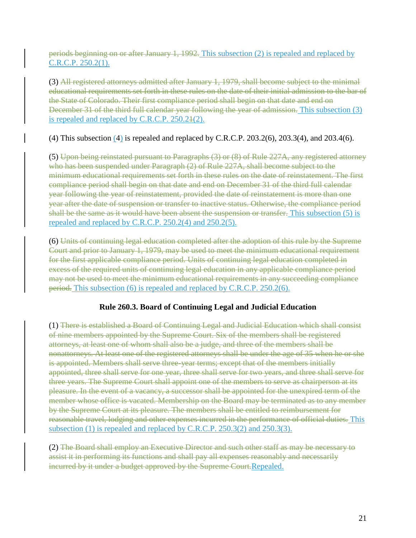periods beginning on or after January 1, 1992. This subsection (2) is repealed and replaced by C.R.C.P. 250.2(1).

(3) All registered attorneys admitted after January 1, 1979, shall become subject to the minimal educational requirements set forth in these rules on the date of their initial admission to the bar of the State of Colorado. Their first compliance period shall begin on that date and end on December 31 of the third full calendar year following the year of admission. This subsection (3) is repealed and replaced by C.R.C.P. 250.21(2).

(4) This subsection (4) is repealed and replaced by C.R.C.P. 203.2(6), 203.3(4), and 203.4(6).

(5) Upon being reinstated pursuant to Paragraphs (3) or (8) of Rule 227A, any registered attorney who has been suspended under Paragraph (2) of Rule 227A, shall become subject to the minimum educational requirements set forth in these rules on the date of reinstatement. The first compliance period shall begin on that date and end on December 31 of the third full calendar year following the year of reinstatement, provided the date of reinstatement is more than one year after the date of suspension or transfer to inactive status. Otherwise, the compliance period shall be the same as it would have been absent the suspension or transfer. This subsection (5) is repealed and replaced by C.R.C.P. 250.2(4) and 250.2(5).

(6) Units of continuing legal education completed after the adoption of this rule by the Supreme Court and prior to January 1, 1979, may be used to meet the minimum educational requirement for the first applicable compliance period. Units of continuing legal education completed in excess of the required units of continuing legal education in any applicable compliance period may not be used to meet the minimum educational requirements in any succeeding compliance period. This subsection (6) is repealed and replaced by C.R.C.P. 250.2(6).

## **Rule 260.3. Board of Continuing Legal and Judicial Education**

(1) There is established a Board of Continuing Legal and Judicial Education which shall consist of nine members appointed by the Supreme Court. Six of the members shall be registered attorneys, at least one of whom shall also be a judge, and three of the members shall be nonattorneys. At least one of the registered attorneys shall be under the age of 35 when he or she is appointed. Members shall serve three-year terms; except that of the members initially appointed, three shall serve for one year, three shall serve for two years, and three shall serve for three years. The Supreme Court shall appoint one of the members to serve as chairperson at its pleasure. In the event of a vacancy, a successor shall be appointed for the unexpired term of the member whose office is vacated. Membership on the Board may be terminated as to any member by the Supreme Court at its pleasure. The members shall be entitled to reimbursement for reasonable travel, lodging and other expenses incurred in the performance of official duties. This subsection (1) is repealed and replaced by C.R.C.P. 250.3(2) and 250.3(3).

(2) The Board shall employ an Executive Director and such other staff as may be necessary to assist it in performing its functions and shall pay all expenses reasonably and necessarily incurred by it under a budget approved by the Supreme Court. Repealed.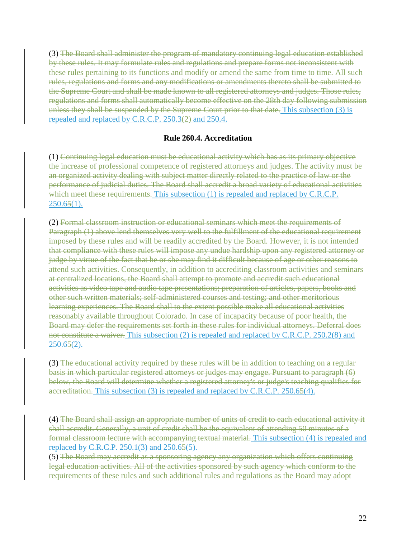(3) The Board shall administer the program of mandatory continuing legal education established by these rules. It may formulate rules and regulations and prepare forms not inconsistent with these rules pertaining to its functions and modify or amend the same from time to time. All such rules, regulations and forms and any modifications or amendments thereto shall be submitted to the Supreme Court and shall be made known to all registered attorneys and judges. Those rules, regulations and forms shall automatically become effective on the 28th day following submission unless they shall be suspended by the Supreme Court prior to that date. This subsection (3) is repealed and replaced by C.R.C.P. 250.3(2) and 250.4.

#### **Rule 260.4. Accreditation**

(1) Continuing legal education must be educational activity which has as its primary objective the increase of professional competence of registered attorneys and judges. The activity must be an organized activity dealing with subject matter directly related to the practice of law or the performance of judicial duties. The Board shall accredit a broad variety of educational activities which meet these requirements. This subsection (1) is repealed and replaced by C.R.C.P.  $250.65(1)$ .

(2) Formal classroom instruction or educational seminars which meet the requirements of Paragraph (1) above lend themselves very well to the fulfillment of the educational requirement imposed by these rules and will be readily accredited by the Board. However, it is not intended that compliance with these rules will impose any undue hardship upon any registered attorney or judge by virtue of the fact that he or she may find it difficult because of age or other reasons to attend such activities. Consequently, in addition to accrediting classroom activities and seminars at centralized locations, the Board shall attempt to promote and accredit such educational activities as video tape and audio tape presentations; preparation of articles, papers, books and other such written materials; self-administered courses and testing; and other meritorious learning experiences. The Board shall to the extent possible make all educational activities reasonably available throughout Colorado. In case of incapacity because of poor health, the Board may defer the requirements set forth in these rules for individual attorneys. Deferral does not constitute a waiver. This subsection (2) is repealed and replaced by C.R.C.P. 250.2(8) and  $250.65(2)$ .

(3) The educational activity required by these rules will be in addition to teaching on a regular basis in which particular registered attorneys or judges may engage. Pursuant to paragraph (6) below, the Board will determine whether a registered attorney's or judge's teaching qualifies for accreditation. This subsection (3) is repealed and replaced by C.R.C.P. 250.65(4).

(4) The Board shall assign an appropriate number of units of credit to each educational activity it shall accredit. Generally, a unit of credit shall be the equivalent of attending 50 minutes of a formal classroom lecture with accompanying textual material. This subsection (4) is repealed and replaced by C.R.C.P. 250.1(3) and 250.65(5).

(5) The Board may accredit as a sponsoring agency any organization which offers continuing legal education activities. All of the activities sponsored by such agency which conform to the requirements of these rules and such additional rules and regulations as the Board may adopt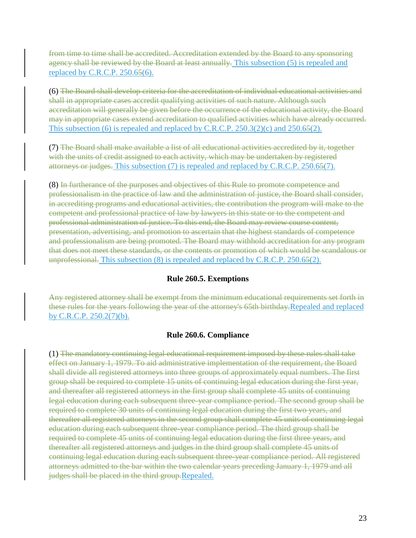from time to time shall be accredited. Accreditation extended by the Board to any sponsoring agency shall be reviewed by the Board at least annually. This subsection (5) is repealed and replaced by C.R.C.P. 250.65(6).

(6) The Board shall develop criteria for the accreditation of individual educational activities and shall in appropriate cases accredit qualifying activities of such nature. Although such accreditation will generally be given before the occurrence of the educational activity, the Board may in appropriate cases extend accreditation to qualified activities which have already occurred. This subsection  $(6)$  is repealed and replaced by C.R.C.P. 250.3(2)(c) and 250.65(2).

(7) The Board shall make available a list of all educational activities accredited by it, together with the units of credit assigned to each activity, which may be undertaken by registered attorneys or judges. This subsection (7) is repealed and replaced by C.R.C.P. 250.65(7).

(8) In furtherance of the purposes and objectives of this Rule to promote competence and professionalism in the practice of law and the administration of justice, the Board shall consider, in accrediting programs and educational activities, the contribution the program will make to the competent and professional practice of law by lawyers in this state or to the competent and professional administration of justice. To this end, the Board may review course content, presentation, advertising, and promotion to ascertain that the highest standards of competence and professionalism are being promoted. The Board may withhold accreditation for any program that does not meet these standards, or the contents or promotion of which would be scandalous or unprofessional. This subsection  $(8)$  is repealed and replaced by C.R.C.P. 250.65 $(2)$ .

## **Rule 260.5. Exemptions**

Any registered attorney shall be exempt from the minimum educational requirements set forth in these rules for the years following the year of the attorney's 65th birthday.Repealed and replaced by C.R.C.P. 250.2(7)(b).

## **Rule 260.6. Compliance**

(1) The mandatory continuing legal educational requirement imposed by these rules shall take effect on January 1, 1979. To aid administrative implementation of the requirement, the Board shall divide all registered attorneys into three groups of approximately equal numbers. The first group shall be required to complete 15 units of continuing legal education during the first year, and thereafter all registered attorneys in the first group shall complete 45 units of continuing legal education during each subsequent three-year compliance period. The second group shall be required to complete 30 units of continuing legal education during the first two years, and thereafter all registered attorneys in the second group shall complete 45 units of continuing legal education during each subsequent three-year compliance period. The third group shall be required to complete 45 units of continuing legal education during the first three years, and thereafter all registered attorneys and judges in the third group shall complete 45 units of continuing legal education during each subsequent three-year compliance period. All registered attorneys admitted to the bar within the two calendar years preceding January 1, 1979 and all judges shall be placed in the third group.Repealed.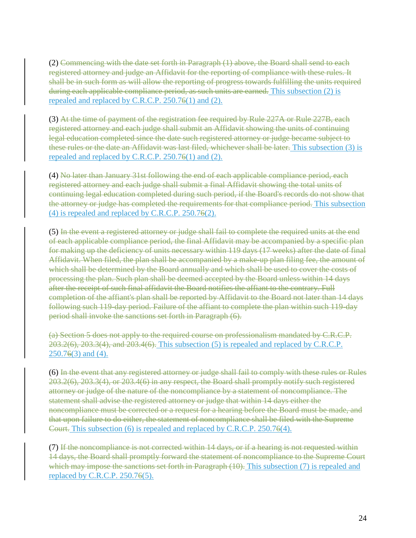(2) Commencing with the date set forth in Paragraph (1) above, the Board shall send to each registered attorney and judge an Affidavit for the reporting of compliance with these rules. It shall be in such form as will allow the reporting of progress towards fulfilling the units required during each applicable compliance period, as such units are earned. This subsection (2) is repealed and replaced by C.R.C.P. 250.76(1) and (2).

(3) At the time of payment of the registration fee required by Rule 227A or Rule 227B, each registered attorney and each judge shall submit an Affidavit showing the units of continuing legal education completed since the date such registered attorney or judge became subject to these rules or the date an Affidavit was last filed, whichever shall be later. This subsection (3) is repealed and replaced by C.R.C.P. 250.76(1) and (2).

(4) No later than January 31st following the end of each applicable compliance period, each registered attorney and each judge shall submit a final Affidavit showing the total units of continuing legal education completed during such period, if the Board's records do not show that the attorney or judge has completed the requirements for that compliance period. This subsection (4) is repealed and replaced by C.R.C.P. 250.76(2).

(5) In the event a registered attorney or judge shall fail to complete the required units at the end of each applicable compliance period, the final Affidavit may be accompanied by a specific plan for making up the deficiency of units necessary within 119 days (17 weeks) after the date of final Affidavit. When filed, the plan shall be accompanied by a make-up plan filing fee, the amount of which shall be determined by the Board annually and which shall be used to cover the costs of processing the plan. Such plan shall be deemed accepted by the Board unless within 14 days after the receipt of such final affidavit the Board notifies the affiant to the contrary. Full completion of the affiant's plan shall be reported by Affidavit to the Board not later than 14 days following such 119-day period. Failure of the affiant to complete the plan within such 119-day period shall invoke the sanctions set forth in Paragraph (6).

(a) Section 5 does not apply to the required course on professionalism mandated by C.R.C.P.  $203.2(6)$ ,  $203.3(4)$ , and  $203.4(6)$ . This subsection (5) is repealed and replaced by C.R.C.P.  $250.76(3)$  and  $(4)$ .

(6) In the event that any registered attorney or judge shall fail to comply with these rules or Rules 203.2(6), 203.3(4), or 203.4(6) in any respect, the Board shall promptly notify such registered attorney or judge of the nature of the noncompliance by a statement of noncompliance. The statement shall advise the registered attorney or judge that within 14 days either the noncompliance must be corrected or a request for a hearing before the Board must be made, and that upon failure to do either, the statement of noncompliance shall be filed with the Supreme Court. This subsection (6) is repealed and replaced by C.R.C.P. 250.76(4).

(7) If the noncompliance is not corrected within 14 days, or if a hearing is not requested within 14 days, the Board shall promptly forward the statement of noncompliance to the Supreme Court which may impose the sanctions set forth in Paragraph (10). This subsection (7) is repealed and replaced by C.R.C.P. 250.76(5).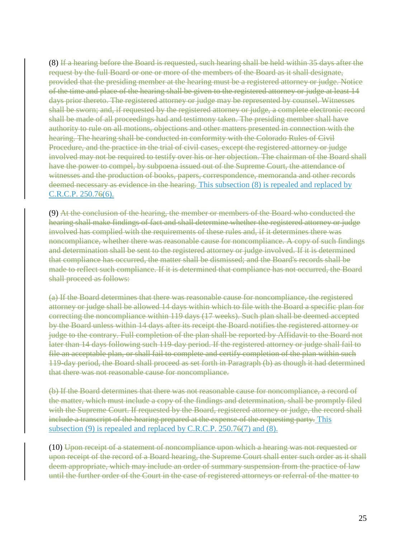(8) If a hearing before the Board is requested, such hearing shall be held within 35 days after the request by the full Board or one or more of the members of the Board as it shall designate, provided that the presiding member at the hearing must be a registered attorney or judge. Notice of the time and place of the hearing shall be given to the registered attorney or judge at least 14 days prior thereto. The registered attorney or judge may be represented by counsel. Witnesses shall be sworn; and, if requested by the registered attorney or judge, a complete electronic record shall be made of all proceedings had and testimony taken. The presiding member shall have authority to rule on all motions, objections and other matters presented in connection with the hearing. The hearing shall be conducted in conformity with the Colorado Rules of Civil Procedure, and the practice in the trial of civil cases, except the registered attorney or judge involved may not be required to testify over his or her objection. The chairman of the Board shall have the power to compel, by subpoena issued out of the Supreme Court, the attendance of witnesses and the production of books, papers, correspondence, memoranda and other records deemed necessary as evidence in the hearing. This subsection (8) is repealed and replaced by C.R.C.P. 250.76(6).

(9) At the conclusion of the hearing, the member or members of the Board who conducted the hearing shall make findings of fact and shall determine whether the registered attorney or judge involved has complied with the requirements of these rules and, if it determines there was noncompliance, whether there was reasonable cause for noncompliance. A copy of such findings and determination shall be sent to the registered attorney or judge involved. If it is determined that compliance has occurred, the matter shall be dismissed; and the Board's records shall be made to reflect such compliance. If it is determined that compliance has not occurred, the Board shall proceed as follows:

(a) If the Board determines that there was reasonable cause for noncompliance, the registered attorney or judge shall be allowed 14 days within which to file with the Board a specific plan for correcting the noncompliance within 119 days (17 weeks). Such plan shall be deemed accepted by the Board unless within 14 days after its receipt the Board notifies the registered attorney or judge to the contrary. Full completion of the plan shall be reported by Affidavit to the Board not later than 14 days following such 119-day period. If the registered attorney or judge shall fail to file an acceptable plan, or shall fail to complete and certify completion of the plan within such 119-day period, the Board shall proceed as set forth in Paragraph (b) as though it had determined that there was not reasonable cause for noncompliance.

(b) If the Board determines that there was not reasonable cause for noncompliance, a record of the matter, which must include a copy of the findings and determination, shall be promptly filed with the Supreme Court. If requested by the Board, registered attorney or judge, the record shall include a transcript of the hearing prepared at the expense of the requesting party. This subsection (9) is repealed and replaced by C.R.C.P. 250.76(7) and (8).

(10) Upon receipt of a statement of noncompliance upon which a hearing was not requested or upon receipt of the record of a Board hearing, the Supreme Court shall enter such order as it shall deem appropriate, which may include an order of summary suspension from the practice of law until the further order of the Court in the case of registered attorneys or referral of the matter to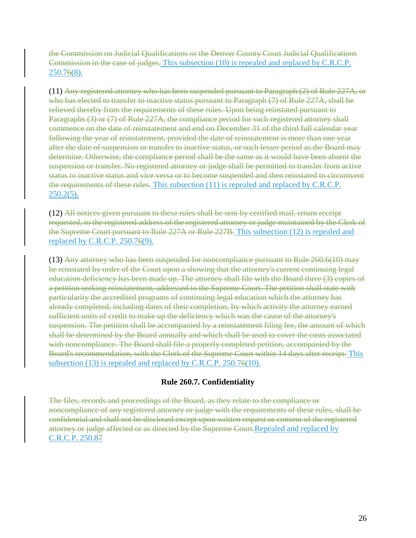the Commission on Judicial Qualifications or the Denver County Court Judicial Qualifications Commission in the case of judges. This subsection (10) is repealed and replaced by C.R.C.P. 250.76(8).

(11) Any registered attorney who has been suspended pursuant to Paragraph (2) of Rule 227A, or who has elected to transfer to inactive status pursuant to Paragraph (7) of Rule 227A, shall be relieved thereby from the requirements of these rules. Upon being reinstated pursuant to Paragraphs (3) or (7) of Rule 227A, the compliance period for such registered attorney shall commence on the date of reinstatement and end on December 31 of the third full calendar year following the year of reinstatement, provided the date of reinstatement is more than one year after the date of suspension or transfer to inactive status, or such lesser period as the Board may determine. Otherwise, the compliance period shall be the same as it would have been absent the suspension or transfer. No registered attorney or judge shall be permitted to transfer from active status to inactive status and vice versa or to become suspended and then reinstated to circumvent the requirements of these rules. This subsection (11) is repealed and replaced by C.R.C.P. 250.2(5).

(12) All notices given pursuant to these rules shall be sent by certified mail, return receipt requested, to the registered address of the registered attorney or judge maintained by the Clerk of the Supreme Court pursuant to Rule 227A or Rule 227B. This subsection (12) is repealed and replaced by C.R.C.P. 250.76(9).

(13) Any attorney who has been suspended for noncompliance pursuant to Rule 260.6(10) may be reinstated by order of the Court upon a showing that the attorney's current continuing legal education deficiency has been made up. The attorney shall file with the Board three (3) copies of a petition seeking reinstatement, addressed to the Supreme Court. The petition shall state with particularity the accredited programs of continuing legal education which the attorney has already completed, including dates of their completion, by which activity the attorney earned sufficient units of credit to make up the deficiency which was the cause of the attorney's suspension. The petition shall be accompanied by a reinstatement filing fee, the amount of which shall be determined by the Board annually and which shall be used to cover the costs associated with noncompliance. The Board shall file a properly completed petition, accompanied by the Board's recommendation, with the Clerk of the Supreme Court within 14 days after receipt. This subsection (13) is repealed and replaced by C.R.C.P. 250.76(10).

## **Rule 260.7. Confidentiality**

The files, records and proceedings of the Board, as they relate to the compliance or noncompliance of any registered attorney or judge with the requirements of these rules, shall be confidential and shall not be disclosed except upon written request or consent of the registered attorney or judge affected or as directed by the Supreme Court.Repealed and replaced by C.R.C.P. 250.87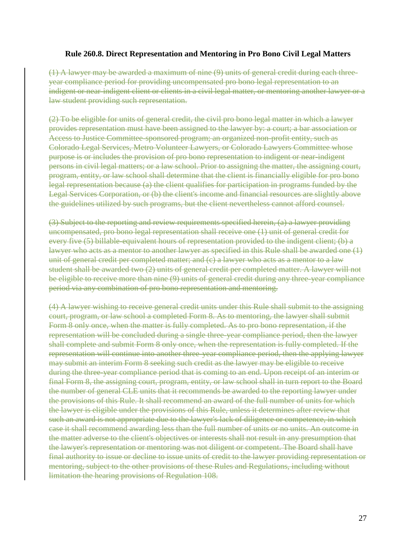#### **Rule 260.8. Direct Representation and Mentoring in Pro Bono Civil Legal Matters**

(1) A lawyer may be awarded a maximum of nine (9) units of general credit during each threeyear compliance period for providing uncompensated pro bono legal representation to an indigent or near-indigent client or clients in a civil legal matter, or mentoring another lawyer or a law student providing such representation.

(2) To be eligible for units of general credit, the civil pro bono legal matter in which a lawyer provides representation must have been assigned to the lawyer by: a court; a bar association or Access to Justice Committee-sponsored program; an organized non-profit entity, such as Colorado Legal Services, Metro Volunteer Lawyers, or Colorado Lawyers Committee whose purpose is or includes the provision of pro bono representation to indigent or near-indigent persons in civil legal matters; or a law school. Prior to assigning the matter, the assigning court, program, entity, or law school shall determine that the client is financially eligible for pro bono legal representation because (a) the client qualifies for participation in programs funded by the Legal Services Corporation, or (b) the client's income and financial resources are slightly above the guidelines utilized by such programs, but the client nevertheless cannot afford counsel.

(3) Subject to the reporting and review requirements specified herein, (a) a lawyer providing uncompensated, pro bono legal representation shall receive one (1) unit of general credit for every five (5) billable-equivalent hours of representation provided to the indigent client; (b) a lawyer who acts as a mentor to another lawyer as specified in this Rule shall be awarded one (1) unit of general credit per completed matter; and  $(c)$  a lawyer who acts as a mentor to a law student shall be awarded two (2) units of general credit per completed matter. A lawyer will not be eligible to receive more than nine (9) units of general credit during any three-year compliance period via any combination of pro bono representation and mentoring.

(4) A lawyer wishing to receive general credit units under this Rule shall submit to the assigning court, program, or law school a completed Form 8. As to mentoring, the lawyer shall submit Form 8 only once, when the matter is fully completed. As to pro bono representation, if the representation will be concluded during a single three-year compliance period, then the lawyer shall complete and submit Form 8 only once, when the representation is fully completed. If the representation will continue into another three-year compliance period, then the applying lawyer may submit an interim Form 8 seeking such credit as the lawyer may be eligible to receive during the three-year compliance period that is coming to an end. Upon receipt of an interim or final Form 8, the assigning court, program, entity, or law school shall in turn report to the Board the number of general CLE units that it recommends be awarded to the reporting lawyer under the provisions of this Rule. It shall recommend an award of the full number of units for which the lawyer is eligible under the provisions of this Rule, unless it determines after review that such an award is not appropriate due to the lawyer's lack of diligence or competence, in which case it shall recommend awarding less than the full number of units or no units. An outcome in the matter adverse to the client's objectives or interests shall not result in any presumption that the lawyer's representation or mentoring was not diligent or competent. The Board shall have final authority to issue or decline to issue units of credit to the lawyer providing representation or mentoring, subject to the other provisions of these Rules and Regulations, including without limitation the hearing provisions of Regulation 108.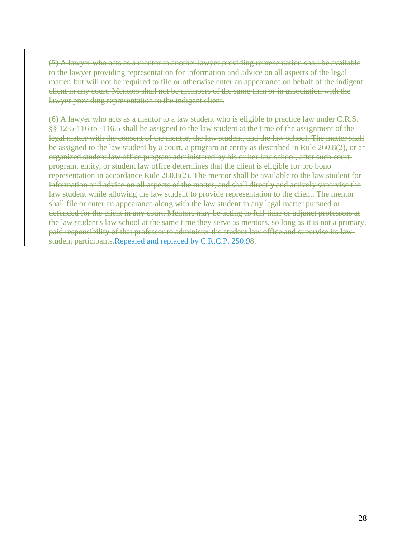(5) A lawyer who acts as a mentor to another lawyer providing representation shall be available to the lawyer providing representation for information and advice on all aspects of the legal matter, but will not be required to file or otherwise enter an appearance on behalf of the indigent client in any court. Mentors shall not be members of the same firm or in association with the lawyer providing representation to the indigent client.

(6) A lawyer who acts as a mentor to a law student who is eligible to practice law under C.R.S. §§ 12-5-116 to -116.5 shall be assigned to the law student at the time of the assignment of the legal matter with the consent of the mentor, the law student, and the law school. The matter shall be assigned to the law student by a court, a program or entity as described in Rule 260.8(2), or an organized student law office program administered by his or her law school, after such court, program, entity, or student law office determines that the client is eligible for pro bono representation in accordance Rule 260.8(2). The mentor shall be available to the law student for information and advice on all aspects of the matter, and shall directly and actively supervise the law student while allowing the law student to provide representation to the client. The mentor shall file or enter an appearance along with the law student in any legal matter pursued or defended for the client in any court. Mentors may be acting as full-time or adjunct professors at the law student's law school at the same time they serve as mentors, so long as it is not a primary, paid responsibility of that professor to administer the student law office and supervise its lawstudent participants.Repealed and replaced by C.R.C.P. 250.98.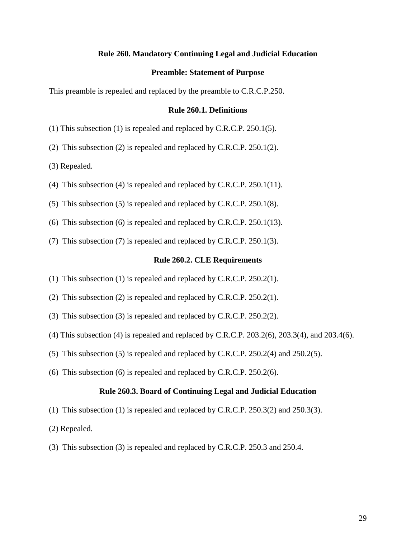#### **Rule 260. Mandatory Continuing Legal and Judicial Education**

#### **Preamble: Statement of Purpose**

This preamble is repealed and replaced by the preamble to C.R.C.P.250.

#### **Rule 260.1. Definitions**

(1) This subsection (1) is repealed and replaced by C.R.C.P. 250.1(5).

(2) This subsection (2) is repealed and replaced by C.R.C.P. 250.1(2).

(3) Repealed.

- (4) This subsection (4) is repealed and replaced by C.R.C.P. 250.1(11).
- (5) This subsection (5) is repealed and replaced by C.R.C.P. 250.1(8).
- (6) This subsection (6) is repealed and replaced by C.R.C.P. 250.1(13).
- (7) This subsection (7) is repealed and replaced by C.R.C.P. 250.1(3).

#### **Rule 260.2. CLE Requirements**

- (1) This subsection (1) is repealed and replaced by C.R.C.P. 250.2(1).
- (2) This subsection (2) is repealed and replaced by C.R.C.P. 250.2(1).
- (3) This subsection (3) is repealed and replaced by C.R.C.P. 250.2(2).
- (4) This subsection (4) is repealed and replaced by C.R.C.P. 203.2(6), 203.3(4), and 203.4(6).
- (5) This subsection (5) is repealed and replaced by C.R.C.P. 250.2(4) and 250.2(5).
- (6) This subsection (6) is repealed and replaced by C.R.C.P. 250.2(6).

#### **Rule 260.3. Board of Continuing Legal and Judicial Education**

- (1) This subsection (1) is repealed and replaced by C.R.C.P. 250.3(2) and 250.3(3).
- (2) Repealed.
- (3) This subsection (3) is repealed and replaced by C.R.C.P. 250.3 and 250.4.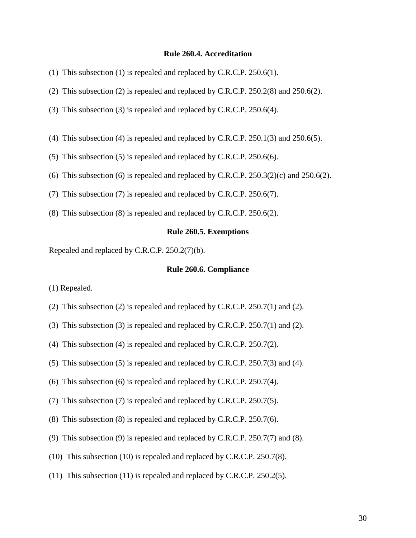#### **Rule 260.4. Accreditation**

- (1) This subsection (1) is repealed and replaced by C.R.C.P. 250.6(1).
- (2) This subsection (2) is repealed and replaced by C.R.C.P. 250.2(8) and 250.6(2).
- (3) This subsection (3) is repealed and replaced by C.R.C.P. 250.6(4).
- (4) This subsection (4) is repealed and replaced by C.R.C.P. 250.1(3) and 250.6(5).
- (5) This subsection (5) is repealed and replaced by C.R.C.P. 250.6(6).
- (6) This subsection (6) is repealed and replaced by C.R.C.P.  $250.3(2)(c)$  and  $250.6(2)$ .
- (7) This subsection (7) is repealed and replaced by C.R.C.P. 250.6(7).
- (8) This subsection (8) is repealed and replaced by C.R.C.P. 250.6(2).

#### **Rule 260.5. Exemptions**

Repealed and replaced by C.R.C.P. 250.2(7)(b).

#### **Rule 260.6. Compliance**

(1) Repealed.

- (2) This subsection (2) is repealed and replaced by C.R.C.P. 250.7(1) and (2).
- (3) This subsection (3) is repealed and replaced by C.R.C.P. 250.7(1) and (2).
- (4) This subsection (4) is repealed and replaced by C.R.C.P. 250.7(2).
- (5) This subsection (5) is repealed and replaced by C.R.C.P. 250.7(3) and (4).
- (6) This subsection (6) is repealed and replaced by C.R.C.P. 250.7(4).
- (7) This subsection (7) is repealed and replaced by C.R.C.P. 250.7(5).
- (8) This subsection (8) is repealed and replaced by C.R.C.P. 250.7(6).
- (9) This subsection (9) is repealed and replaced by C.R.C.P. 250.7(7) and (8).
- (10) This subsection (10) is repealed and replaced by C.R.C.P. 250.7(8).
- (11) This subsection (11) is repealed and replaced by C.R.C.P. 250.2(5).